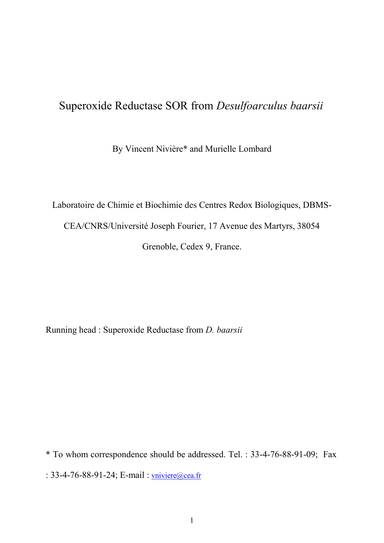## Superoxide Reductase SOR from *Desulfoarculus baarsii*

By Vincent Nivière\* and Murielle Lombard

Laboratoire de Chimie et Biochimie des Centres Redox Biologiques, DBMS-CEA/CNRS/Université Joseph Fourier, 17 Avenue des Martyrs, 38054 Grenoble, Cedex 9, France.

Running head : Superoxide Reductase from *D. baarsii*

\* To whom correspondence should be addressed. Tel. : 33-4-76-88-91-09; Fax : 33-4-76-88-91-24; E-mail : [vniviere@cea.fr](mailto:vniviere@cea.fr)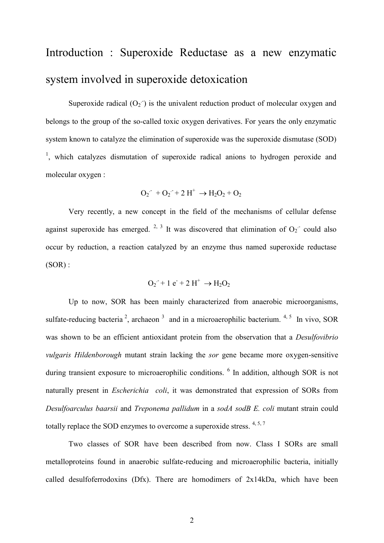# Introduction : Superoxide Reductase as a new enzymatic system involved in superoxide detoxication

Superoxide radical  $(O_2)$  is the univalent reduction product of molecular oxygen and belongs to the group of the so-called toxic oxygen derivatives. For years the only enzymatic system known to catalyze the elimination of superoxide was the superoxide dismutase (SOD) <sup>1</sup>, which catalyzes dismutation of superoxide radical anions to hydrogen peroxide and molecular oxygen :

$$
\rm O_2^+ + O_2^- + 2\ H^+ \to H_2O_2 + O_2
$$

Very recently, a new concept in the field of the mechanisms of cellular defense against superoxide has emerged. <sup>2, 3</sup> It was discovered that elimination of  $O_2$  could also occur by reduction, a reaction catalyzed by an enzyme thus named superoxide reductase  $(SOR)$ :

$$
\mathrm{O_2}^{\cdot} + 1 \mathrm{e}^{\cdot} + 2 \mathrm{H}^{\cdot} \rightarrow \mathrm{H_2O_2}
$$

Up to now, SOR has been mainly characterized from anaerobic microorganisms, sulfate-reducing bacteria<sup>2</sup>, archaeon<sup>3</sup> and in a microaerophilic bacterium.<sup>4,5</sup> In vivo, SOR was shown to be an efficient antioxidant protein from the observation that a *Desulfovibrio vulgaris Hildenborough* mutant strain lacking the *sor* gene became more oxygen-sensitive during transient exposure to microaerophilic conditions. <sup>6</sup> In addition, although SOR is not naturally present in *Escherichia coli*, it was demonstrated that expression of SORs from *Desulfoarculus baarsii* and *Treponema pallidum* in a *sodA sodB E. coli* mutant strain could totally replace the SOD enzymes to overcome a superoxide stress.  $4, 5, 7$ 

Two classes of SOR have been described from now. Class I SORs are small metalloproteins found in anaerobic sulfate-reducing and microaerophilic bacteria, initially called desulfoferrodoxins (Dfx). There are homodimers of 2x14kDa, which have been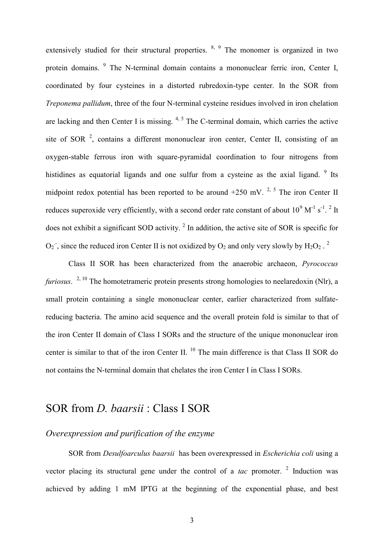extensively studied for their structural properties.  $8, 9$  The monomer is organized in two protein domains. <sup>9</sup> The N-terminal domain contains a mononuclear ferric iron, Center I, coordinated by four cysteines in a distorted rubredoxin-type center. In the SOR from *Treponema pallidum*, three of the four N-terminal cysteine residues involved in iron chelation are lacking and then Center I is missing. <sup>4, 5</sup> The C-terminal domain, which carries the active site of SOR  $^2$ , contains a different mononuclear iron center, Center II, consisting of an oxygen-stable ferrous iron with square-pyramidal coordination to four nitrogens from histidines as equatorial ligands and one sulfur from a cysteine as the axial ligand.  $9$  Its midpoint redox potential has been reported to be around  $+250$  mV.<sup>2, 5</sup> The iron Center II reduces superoxide very efficiently, with a second order rate constant of about  $10^9 \text{ M}^{-1} \text{ s}^{-1}$ . <sup>2</sup> It does not exhibit a significant SOD activity.<sup>2</sup> In addition, the active site of SOR is specific for  $O_2$ , since the reduced iron Center II is not oxidized by  $O_2$  and only very slowly by  $H_2O_2$ .

Class II SOR has been characterized from the anaerobic archaeon, *Pyrococcus furiosus*. 2, 10 The homotetrameric protein presents strong homologies to neelaredoxin (Nlr), a small protein containing a single mononuclear center, earlier characterized from sulfatereducing bacteria. The amino acid sequence and the overall protein fold is similar to that of the iron Center II domain of Class I SORs and the structure of the unique mononuclear iron center is similar to that of the iron Center II.<sup>10</sup> The main difference is that Class II SOR do not contains the N-terminal domain that chelates the iron Center I in Class I SORs.

### SOR from *D. baarsii* : Class I SOR

#### *Overexpression and purification of the enzyme*

SOR from *Desulfoarculus baarsii* has been overexpressed in *Escherichia coli* using a vector placing its structural gene under the control of a *tac* promoter.<sup>2</sup> Induction was achieved by adding 1 mM IPTG at the beginning of the exponential phase, and best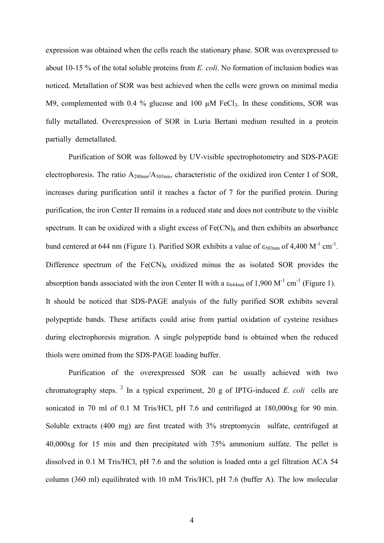expression was obtained when the cells reach the stationary phase. SOR was overexpressed to about 10-15 % of the total soluble proteins from *E. coli*. No formation of inclusion bodies was noticed. Metallation of SOR was best achieved when the cells were grown on minimal media M9, complemented with 0.4 % glucose and 100  $\mu$ M FeCl<sub>3</sub>. In these conditions, SOR was fully metallated. Overexpression of SOR in Luria Bertani medium resulted in a protein partially demetallated.

Purification of SOR was followed by UV-visible spectrophotometry and SDS-PAGE electrophoresis. The ratio  $A_{280nm}/A_{503nm}$ , characteristic of the oxidized iron Center I of SOR, increases during purification until it reaches a factor of 7 for the purified protein. During purification, the iron Center II remains in a reduced state and does not contribute to the visible spectrum. It can be oxidized with a slight excess of  $Fe(CN)<sub>6</sub>$  and then exhibits an absorbance band centered at 644 nm (Figure 1). Purified SOR exhibits a value of  $\varepsilon_{503nm}$  of 4,400 M<sup>-1</sup> cm<sup>-1</sup>. Difference spectrum of the  $Fe(CN)<sub>6</sub>$  oxidized minus the as isolated SOR provides the absorption bands associated with the iron Center II with a  $\varepsilon_{644nm}$  of 1,900 M<sup>-1</sup> cm<sup>-1</sup> (Figure 1). It should be noticed that SDS-PAGE analysis of the fully purified SOR exhibits several polypeptide bands. These artifacts could arise from partial oxidation of cysteine residues during electrophoresis migration. A single polypeptide band is obtained when the reduced thiols were omitted from the SDS-PAGE loading buffer.

Purification of the overexpressed SOR can be usually achieved with two chromatography steps.  $2 \text{ In a typical experiment, } 20 \text{ g of IPTG-induced } E$ . *coli* cells are sonicated in 70 ml of 0.1 M Tris/HCl, pH 7.6 and centrifuged at 180,000xg for 90 min. Soluble extracts (400 mg) are first treated with 3% streptomycin sulfate, centrifuged at 40,000xg for 15 min and then precipitated with 75% ammonium sulfate. The pellet is dissolved in 0.1 M Tris/HCl, pH 7.6 and the solution is loaded onto a gel filtration ACA 54 column (360 ml) equilibrated with 10 mM Tris/HCl, pH 7.6 (buffer A). The low molecular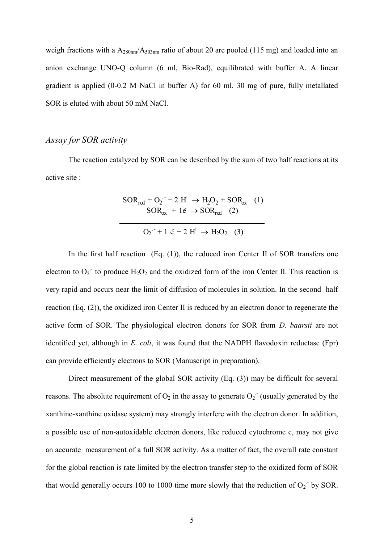weigh fractions with a A<sub>280nm</sub>/A<sub>503nm</sub> ratio of about 20 are pooled (115 mg) and loaded into an anion exchange UNO-Q column (6 ml, Bio-Rad), equilibrated with buffer A. A linear gradient is applied (0-0.2 M NaCl in buffer A) for 60 ml. 30 mg of pure, fully metallated SOR is eluted with about 50 mM NaCl.

#### *Assay for SOR activity*

The reaction catalyzed by SOR can be described by the sum of two half reactions at its active site :

$$
SOR_{\text{red}} + O_2^- + 2 H^+ \rightarrow H_2O_2 + SOR_{\text{ox}}
$$
 (1)  
\n
$$
SOR_{\text{ox}} + 1\vec{e} \rightarrow SOR_{\text{red}}
$$
 (2)  
\n
$$
O_2^- + 1 \vec{e} + 2 H^+ \rightarrow H_2O_2
$$
 (3)

In the first half reaction  $(Eq. (1))$ , the reduced iron Center II of SOR transfers one electron to  $O_2$  to produce  $H_2O_2$  and the oxidized form of the iron Center II. This reaction is very rapid and occurs near the limit of diffusion of molecules in solution. In the second half reaction (Eq. (2)), the oxidized iron Center II is reduced by an electron donor to regenerate the active form of SOR. The physiological electron donors for SOR from *D. baarsii* are not identified yet, although in *E. coli*, it was found that the NADPH flavodoxin reductase (Fpr) can provide efficiently electrons to SOR (Manuscript in preparation).

Direct measurement of the global SOR activity (Eq. (3)) may be difficult for several reasons. The absolute requirement of  $O_2$  in the assay to generate  $O_2$ <sup>-</sup> (usually generated by the xanthine-xanthine oxidase system) may strongly interfere with the electron donor. In addition, a possible use of non-autoxidable electron donors, like reduced cytochrome c, may not give an accurate measurement of a full SOR activity. As a matter of fact, the overall rate constant for the global reaction is rate limited by the electron transfer step to the oxidized form of SOR that would generally occurs 100 to 1000 time more slowly that the reduction of  $O_2$  by SOR.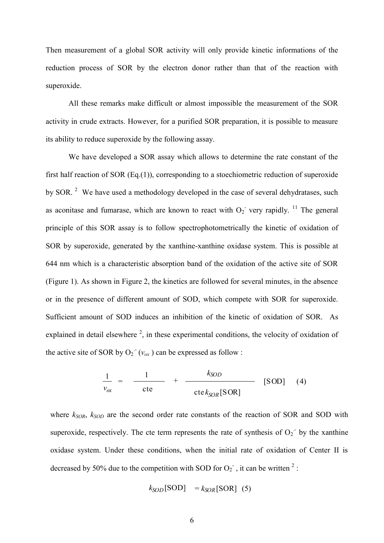Then measurement of a global SOR activity will only provide kinetic informations of the reduction process of SOR by the electron donor rather than that of the reaction with superoxide.

All these remarks make difficult or almost impossible the measurement of the SOR activity in crude extracts. However, for a purified SOR preparation, it is possible to measure its ability to reduce superoxide by the following assay.

We have developed a SOR assay which allows to determine the rate constant of the first half reaction of SOR (Eq.(1)), corresponding to a stoechiometric reduction of superoxide by SOR. <sup>2</sup> We have used a methodology developed in the case of several dehydratases, such as aconitase and fumarase, which are known to react with  $O_2$  very rapidly. <sup>11</sup> The general principle of this SOR assay is to follow spectrophotometrically the kinetic of oxidation of SOR by superoxide, generated by the xanthine-xanthine oxidase system. This is possible at 644 nm which is a characteristic absorption band of the oxidation of the active site of SOR (Figure 1). As shown in Figure 2, the kinetics are followed for several minutes, in the absence or in the presence of different amount of SOD, which compete with SOR for superoxide. Sufficient amount of SOD induces an inhibition of the kinetic of oxidation of SOR. As explained in detail elsewhere  $2$ , in these experimental conditions, the velocity of oxidation of the active site of SOR by  $O_2^-(v_{ox})$  can be expressed as follow :

$$
\frac{1}{v_{ox}} = \frac{1}{\text{cte}} + \frac{k_{SOD}}{\text{cte}k_{SOR}[\text{SOR}]}
$$
 [SOD] (4)

where *kSOR*, *kSOD* are the second order rate constants of the reaction of SOR and SOD with superoxide, respectively. The cte term represents the rate of synthesis of  $O_2$  by the xanthine oxidase system. Under these conditions, when the initial rate of oxidation of Center II is decreased by 50% due to the competition with SOD for  $O_2$ , it can be written <sup>2</sup>:

$$
k_{SOD}[\text{SOD}] = k_{SOR}[\text{SOR}] \tag{5}
$$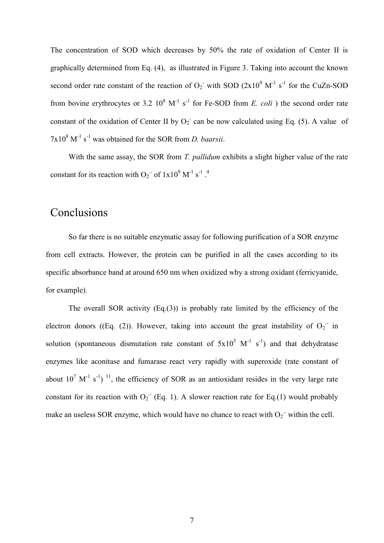The concentration of SOD which decreases by 50% the rate of oxidation of Center II is graphically determined from Eq. (4), as illustrated in Figure 3. Taking into account the known second order rate constant of the reaction of  $O_2$  with SOD  $(2x10^9 \text{ M}^{-1} \text{ s}^{-1})$  for the CuZn-SOD from bovine erythrocytes or 3.2  $10^8$  M<sup>-1</sup> s<sup>-1</sup> for Fe-SOD from *E. coli*) the second order rate constant of the oxidation of Center II by  $O_2$  can be now calculated using Eq. (5). A value of  $7x10^8$  M<sup>-1</sup> s<sup>-1</sup> was obtained for the SOR from *D. baarsii.* 

With the same assay, the SOR from *T. pallidum* exhibits a slight higher value of the rate constant for its reaction with  $O_2$  of  $1x10^9$  M<sup>-1</sup> s<sup>-1</sup>.<sup>4</sup>

## Conclusions

So far there is no suitable enzymatic assay for following purification of a SOR enzyme from cell extracts. However, the protein can be purified in all the cases according to its specific absorbance band at around 650 nm when oxidized why a strong oxidant (ferricyanide, for example).

The overall SOR activity (Eq.(3)) is probably rate limited by the efficiency of the electron donors ((Eq. (2)). However, taking into account the great instability of  $O_2$  in solution (spontaneous dismutation rate constant of  $5x10^5$  M<sup>-1</sup> s<sup>-1</sup>) and that dehydratase enzymes like aconitase and fumarase react very rapidly with superoxide (rate constant of about  $10^7$  M<sup>-1</sup> s<sup>-1</sup>)<sup>11</sup>, the efficiency of SOR as an antioxidant resides in the very large rate constant for its reaction with  $O_2$ <sup>-</sup> (Eq. 1). A slower reaction rate for Eq.(1) would probably make an useless SOR enzyme, which would have no chance to react with  $O_2$  within the cell.